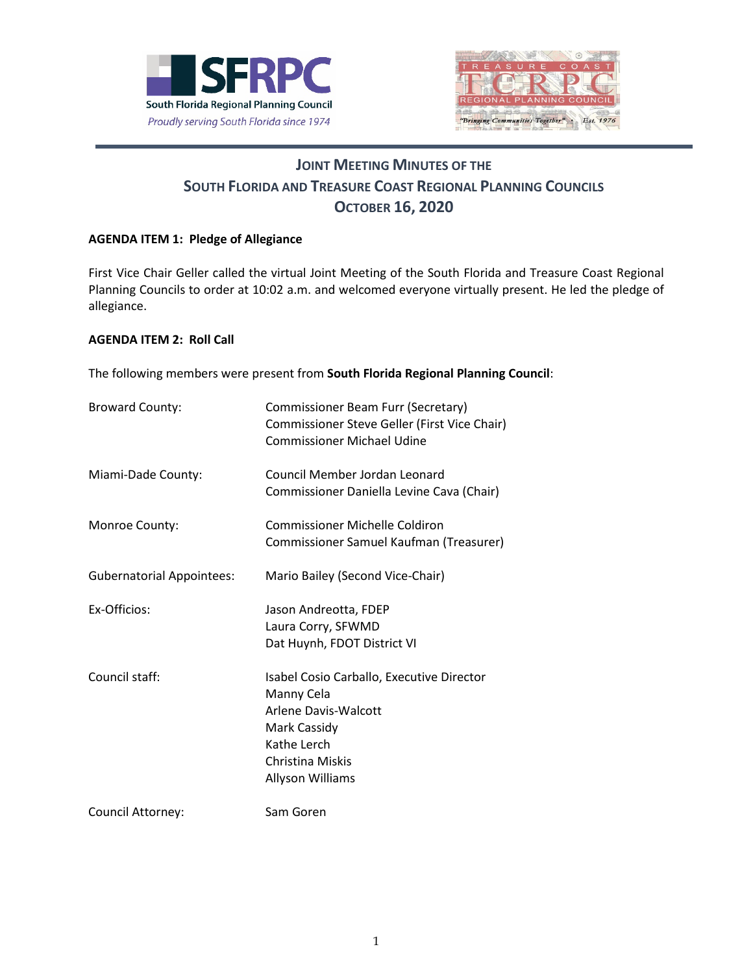



# **JOINT MEETING MINUTES OF THE SOUTH FLORIDA AND TREASURE COAST REGIONAL PLANNING COUNCILS OCTOBER 16, 2020**

## **AGENDA ITEM 1: Pledge of Allegiance**

First Vice Chair Geller called the virtual Joint Meeting of the South Florida and Treasure Coast Regional Planning Councils to order at 10:02 a.m. and welcomed everyone virtually present. He led the pledge of allegiance.

## **AGENDA ITEM 2: Roll Call**

The following members were present from **South Florida Regional Planning Council**:

| <b>Broward County:</b>           | Commissioner Beam Furr (Secretary)<br>Commissioner Steve Geller (First Vice Chair)<br><b>Commissioner Michael Udine</b>                                |
|----------------------------------|--------------------------------------------------------------------------------------------------------------------------------------------------------|
| Miami-Dade County:               | Council Member Jordan Leonard<br>Commissioner Daniella Levine Cava (Chair)                                                                             |
| Monroe County:                   | Commissioner Michelle Coldiron<br>Commissioner Samuel Kaufman (Treasurer)                                                                              |
| <b>Gubernatorial Appointees:</b> | Mario Bailey (Second Vice-Chair)                                                                                                                       |
| Ex-Officios:                     | Jason Andreotta, FDEP<br>Laura Corry, SFWMD<br>Dat Huynh, FDOT District VI                                                                             |
| Council staff:                   | Isabel Cosio Carballo, Executive Director<br>Manny Cela<br>Arlene Davis-Walcott<br>Mark Cassidy<br>Kathe Lerch<br>Christina Miskis<br>Allyson Williams |
| Council Attorney:                | Sam Goren                                                                                                                                              |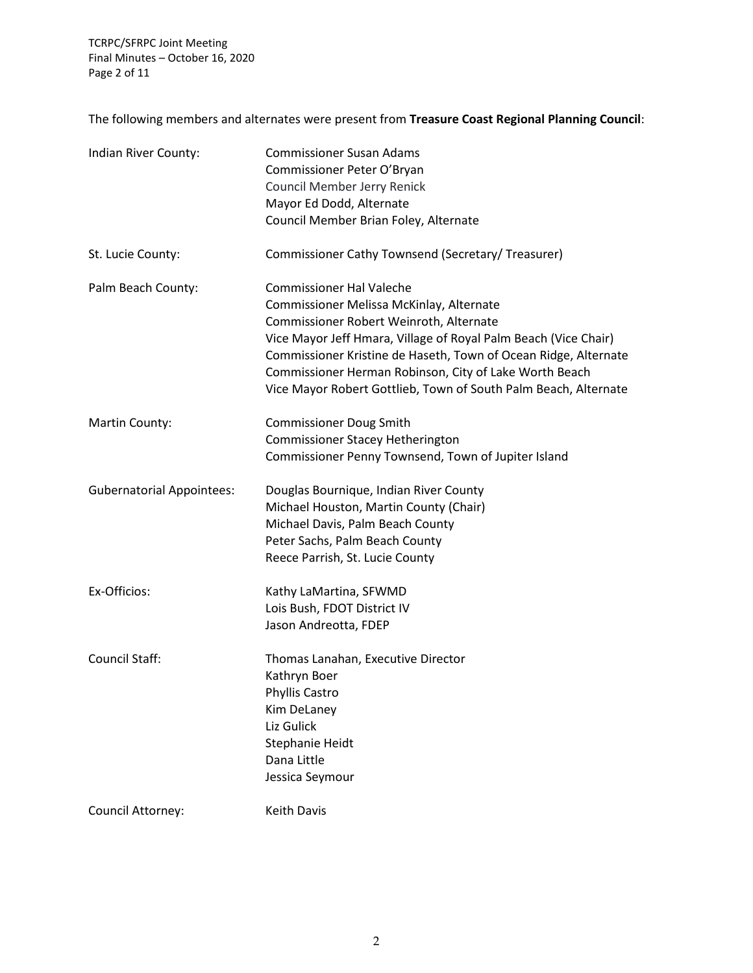TCRPC/SFRPC Joint Meeting Final Minutes – October 16, 2020 Page 2 of 11

The following members and alternates were present from **Treasure Coast Regional Planning Council**:

| Indian River County:             | <b>Commissioner Susan Adams</b><br>Commissioner Peter O'Bryan<br>Council Member Jerry Renick<br>Mayor Ed Dodd, Alternate<br>Council Member Brian Foley, Alternate                                                                                                                                                                                                                         |
|----------------------------------|-------------------------------------------------------------------------------------------------------------------------------------------------------------------------------------------------------------------------------------------------------------------------------------------------------------------------------------------------------------------------------------------|
| St. Lucie County:                | Commissioner Cathy Townsend (Secretary/ Treasurer)                                                                                                                                                                                                                                                                                                                                        |
| Palm Beach County:               | <b>Commissioner Hal Valeche</b><br>Commissioner Melissa McKinlay, Alternate<br>Commissioner Robert Weinroth, Alternate<br>Vice Mayor Jeff Hmara, Village of Royal Palm Beach (Vice Chair)<br>Commissioner Kristine de Haseth, Town of Ocean Ridge, Alternate<br>Commissioner Herman Robinson, City of Lake Worth Beach<br>Vice Mayor Robert Gottlieb, Town of South Palm Beach, Alternate |
| Martin County:                   | <b>Commissioner Doug Smith</b><br>Commissioner Stacey Hetherington<br>Commissioner Penny Townsend, Town of Jupiter Island                                                                                                                                                                                                                                                                 |
| <b>Gubernatorial Appointees:</b> | Douglas Bournique, Indian River County<br>Michael Houston, Martin County (Chair)<br>Michael Davis, Palm Beach County<br>Peter Sachs, Palm Beach County<br>Reece Parrish, St. Lucie County                                                                                                                                                                                                 |
| Ex-Officios:                     | Kathy LaMartina, SFWMD<br>Lois Bush, FDOT District IV<br>Jason Andreotta, FDEP                                                                                                                                                                                                                                                                                                            |
| <b>Council Staff:</b>            | Thomas Lanahan, Executive Director<br>Kathryn Boer<br>Phyllis Castro<br>Kim DeLaney<br>Liz Gulick<br>Stephanie Heidt<br>Dana Little<br>Jessica Seymour                                                                                                                                                                                                                                    |
| Council Attorney:                | Keith Davis                                                                                                                                                                                                                                                                                                                                                                               |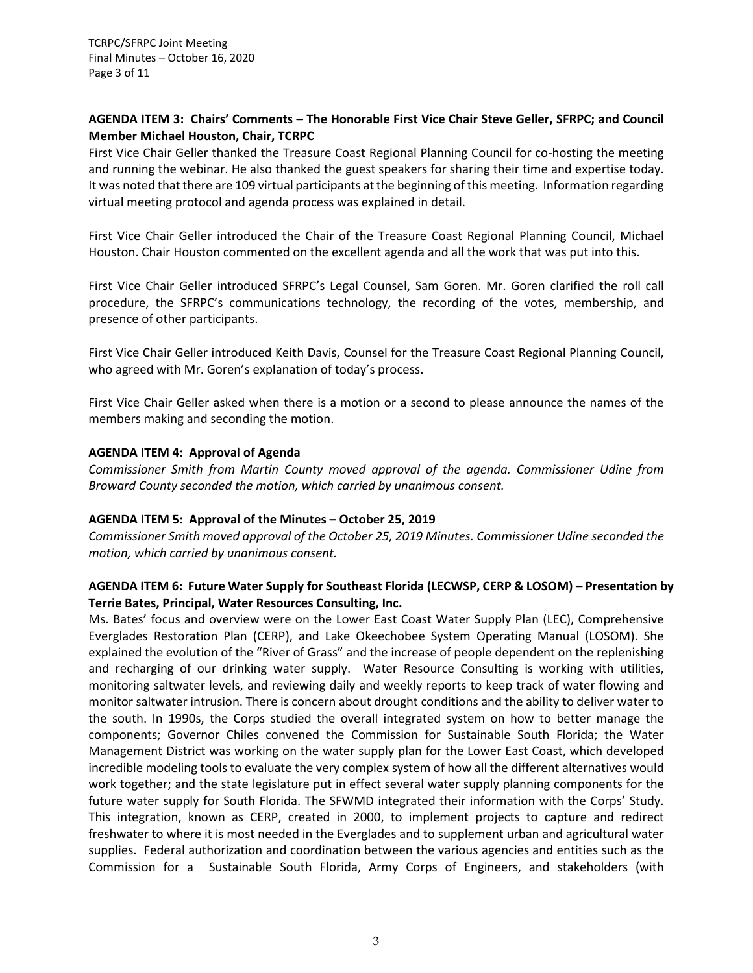TCRPC/SFRPC Joint Meeting Final Minutes – October 16, 2020 Page 3 of 11

## **AGENDA ITEM 3: Chairs' Comments – The Honorable First Vice Chair Steve Geller, SFRPC; and Council Member Michael Houston, Chair, TCRPC**

First Vice Chair Geller thanked the Treasure Coast Regional Planning Council for co-hosting the meeting and running the webinar. He also thanked the guest speakers for sharing their time and expertise today. It was noted that there are 109 virtual participants at the beginning of this meeting. Information regarding virtual meeting protocol and agenda process was explained in detail.

First Vice Chair Geller introduced the Chair of the Treasure Coast Regional Planning Council, Michael Houston. Chair Houston commented on the excellent agenda and all the work that was put into this.

First Vice Chair Geller introduced SFRPC's Legal Counsel, Sam Goren. Mr. Goren clarified the roll call procedure, the SFRPC's communications technology, the recording of the votes, membership, and presence of other participants.

First Vice Chair Geller introduced Keith Davis, Counsel for the Treasure Coast Regional Planning Council, who agreed with Mr. Goren's explanation of today's process.

First Vice Chair Geller asked when there is a motion or a second to please announce the names of the members making and seconding the motion.

## **AGENDA ITEM 4: Approval of Agenda**

*Commissioner Smith from Martin County moved approval of the agenda. Commissioner Udine from Broward County seconded the motion, which carried by unanimous consent.*

#### **AGENDA ITEM 5: Approval of the Minutes – October 25, 2019**

*Commissioner Smith moved approval of the October 25, 2019 Minutes. Commissioner Udine seconded the motion, which carried by unanimous consent.*

## **AGENDA ITEM 6: Future Water Supply for Southeast Florida (LECWSP, CERP & LOSOM) – Presentation by Terrie Bates, Principal, Water Resources Consulting, Inc.**

Ms. Bates' focus and overview were on the Lower East Coast Water Supply Plan (LEC), Comprehensive Everglades Restoration Plan (CERP), and Lake Okeechobee System Operating Manual (LOSOM). She explained the evolution of the "River of Grass" and the increase of people dependent on the replenishing and recharging of our drinking water supply. Water Resource Consulting is working with utilities, monitoring saltwater levels, and reviewing daily and weekly reports to keep track of water flowing and monitor saltwater intrusion. There is concern about drought conditions and the ability to deliver water to the south. In 1990s, the Corps studied the overall integrated system on how to better manage the components; Governor Chiles convened the Commission for Sustainable South Florida; the Water Management District was working on the water supply plan for the Lower East Coast, which developed incredible modeling tools to evaluate the very complex system of how all the different alternatives would work together; and the state legislature put in effect several water supply planning components for the future water supply for South Florida. The SFWMD integrated their information with the Corps' Study. This integration, known as CERP, created in 2000, to implement projects to capture and redirect freshwater to where it is most needed in the Everglades and to supplement urban and agricultural water supplies. Federal authorization and coordination between the various agencies and entities such as the Commission for a Sustainable South Florida, Army Corps of Engineers, and stakeholders (with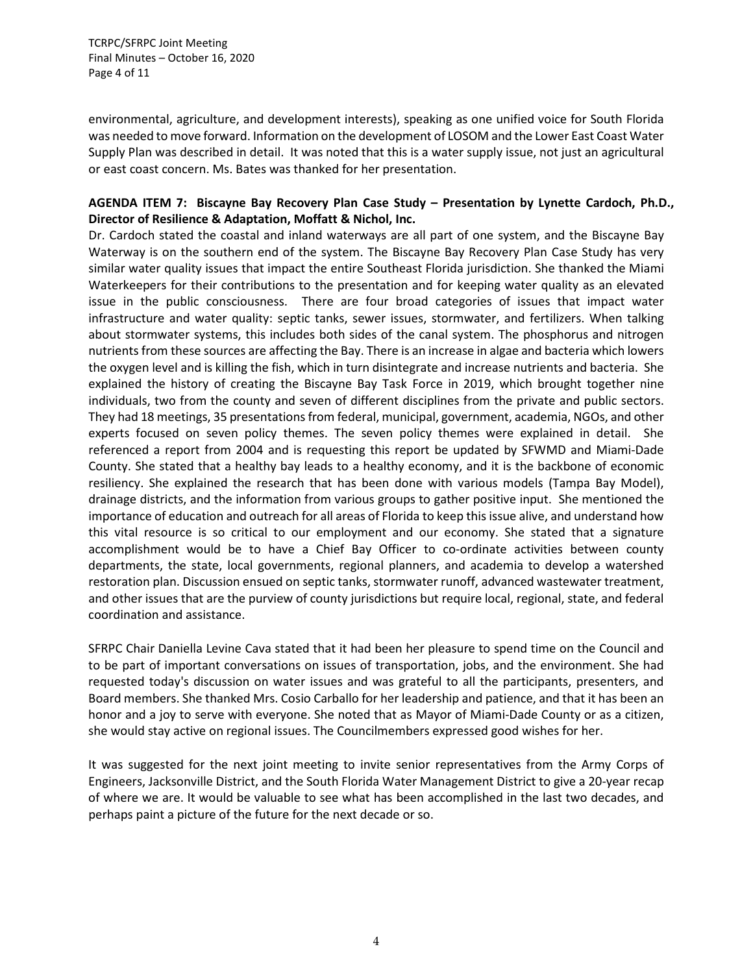TCRPC/SFRPC Joint Meeting Final Minutes – October 16, 2020 Page 4 of 11

environmental, agriculture, and development interests), speaking as one unified voice for South Florida was needed to move forward. Information on the development of LOSOM and the Lower East Coast Water Supply Plan was described in detail. It was noted that this is a water supply issue, not just an agricultural or east coast concern. Ms. Bates was thanked for her presentation.

## **AGENDA ITEM 7: Biscayne Bay Recovery Plan Case Study – Presentation by Lynette Cardoch, Ph.D., Director of Resilience & Adaptation, Moffatt & Nichol, Inc.**

Dr. Cardoch stated the coastal and inland waterways are all part of one system, and the Biscayne Bay Waterway is on the southern end of the system. The Biscayne Bay Recovery Plan Case Study has very similar water quality issues that impact the entire Southeast Florida jurisdiction. She thanked the Miami Waterkeepers for their contributions to the presentation and for keeping water quality as an elevated issue in the public consciousness. There are four broad categories of issues that impact water infrastructure and water quality: septic tanks, sewer issues, stormwater, and fertilizers. When talking about stormwater systems, this includes both sides of the canal system. The phosphorus and nitrogen nutrients from these sources are affecting the Bay. There is an increase in algae and bacteria which lowers the oxygen level and is killing the fish, which in turn disintegrate and increase nutrients and bacteria. She explained the history of creating the Biscayne Bay Task Force in 2019, which brought together nine individuals, two from the county and seven of different disciplines from the private and public sectors. They had 18 meetings, 35 presentations from federal, municipal, government, academia, NGOs, and other experts focused on seven policy themes. The seven policy themes were explained in detail. She referenced a report from 2004 and is requesting this report be updated by SFWMD and Miami-Dade County. She stated that a healthy bay leads to a healthy economy, and it is the backbone of economic resiliency. She explained the research that has been done with various models (Tampa Bay Model), drainage districts, and the information from various groups to gather positive input. She mentioned the importance of education and outreach for all areas of Florida to keep this issue alive, and understand how this vital resource is so critical to our employment and our economy. She stated that a signature accomplishment would be to have a Chief Bay Officer to co-ordinate activities between county departments, the state, local governments, regional planners, and academia to develop a watershed restoration plan. Discussion ensued on septic tanks, stormwater runoff, advanced wastewater treatment, and other issues that are the purview of county jurisdictions but require local, regional, state, and federal coordination and assistance.

SFRPC Chair Daniella Levine Cava stated that it had been her pleasure to spend time on the Council and to be part of important conversations on issues of transportation, jobs, and the environment. She had requested today's discussion on water issues and was grateful to all the participants, presenters, and Board members. She thanked Mrs. Cosio Carballo for her leadership and patience, and that it has been an honor and a joy to serve with everyone. She noted that as Mayor of Miami-Dade County or as a citizen, she would stay active on regional issues. The Councilmembers expressed good wishes for her.

It was suggested for the next joint meeting to invite senior representatives from the Army Corps of Engineers, Jacksonville District, and the South Florida Water Management District to give a 20-year recap of where we are. It would be valuable to see what has been accomplished in the last two decades, and perhaps paint a picture of the future for the next decade or so.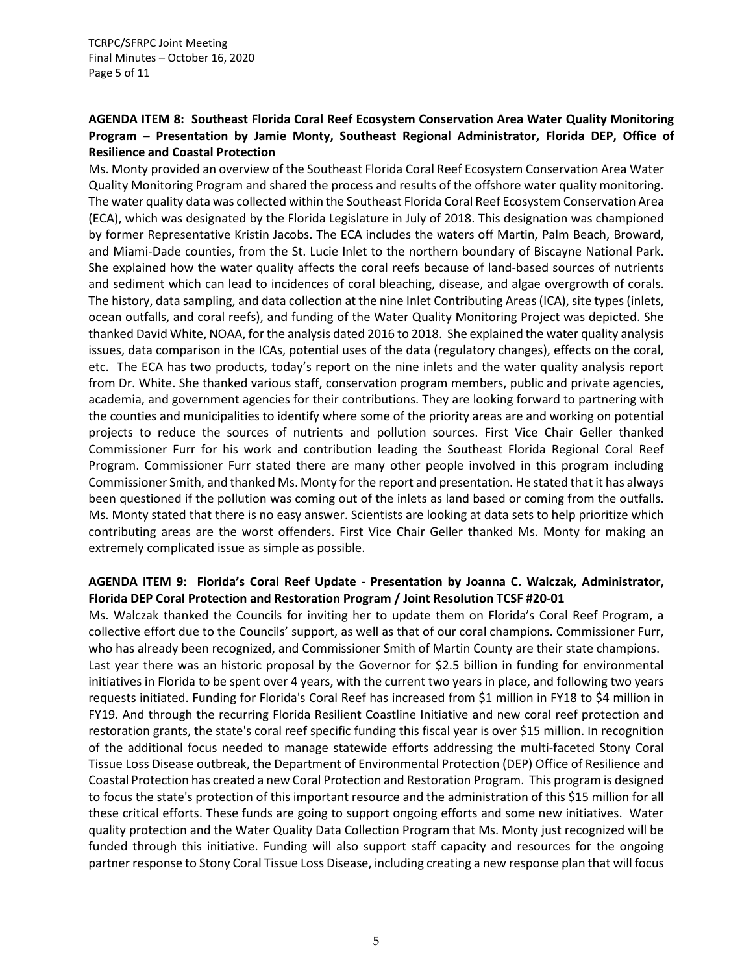# **AGENDA ITEM 8: Southeast Florida Coral Reef Ecosystem Conservation Area Water Quality Monitoring Program – Presentation by Jamie Monty, Southeast Regional Administrator, Florida DEP, Office of Resilience and Coastal Protection**

Ms. Monty provided an overview of the Southeast Florida Coral Reef Ecosystem Conservation Area Water Quality Monitoring Program and shared the process and results of the offshore water quality monitoring. The water quality data was collected within the Southeast Florida Coral Reef Ecosystem Conservation Area (ECA), which was designated by the Florida Legislature in July of 2018. This designation was championed by former Representative Kristin Jacobs. The ECA includes the waters off Martin, Palm Beach, Broward, and Miami-Dade counties, from the St. Lucie Inlet to the northern boundary of Biscayne National Park. She explained how the water quality affects the coral reefs because of land-based sources of nutrients and sediment which can lead to incidences of coral bleaching, disease, and algae overgrowth of corals. The history, data sampling, and data collection at the nine Inlet Contributing Areas (ICA), site types (inlets, ocean outfalls, and coral reefs), and funding of the Water Quality Monitoring Project was depicted. She thanked David White, NOAA, for the analysis dated 2016 to 2018. She explained the water quality analysis issues, data comparison in the ICAs, potential uses of the data (regulatory changes), effects on the coral, etc. The ECA has two products, today's report on the nine inlets and the water quality analysis report from Dr. White. She thanked various staff, conservation program members, public and private agencies, academia, and government agencies for their contributions. They are looking forward to partnering with the counties and municipalities to identify where some of the priority areas are and working on potential projects to reduce the sources of nutrients and pollution sources. First Vice Chair Geller thanked Commissioner Furr for his work and contribution leading the Southeast Florida Regional Coral Reef Program. Commissioner Furr stated there are many other people involved in this program including Commissioner Smith, and thanked Ms. Monty for the report and presentation. He stated that it has always been questioned if the pollution was coming out of the inlets as land based or coming from the outfalls. Ms. Monty stated that there is no easy answer. Scientists are looking at data sets to help prioritize which contributing areas are the worst offenders. First Vice Chair Geller thanked Ms. Monty for making an extremely complicated issue as simple as possible.

# **AGENDA ITEM 9: Florida's Coral Reef Update - Presentation by Joanna C. Walczak, Administrator, Florida DEP Coral Protection and Restoration Program / Joint Resolution TCSF #20-01**

Ms. Walczak thanked the Councils for inviting her to update them on Florida's Coral Reef Program, a collective effort due to the Councils' support, as well as that of our coral champions. Commissioner Furr, who has already been recognized, and Commissioner Smith of Martin County are their state champions. Last year there was an historic proposal by the Governor for \$2.5 billion in funding for environmental initiatives in Florida to be spent over 4 years, with the current two years in place, and following two years requests initiated. Funding for Florida's Coral Reef has increased from \$1 million in FY18 to \$4 million in FY19. And through the recurring Florida Resilient Coastline Initiative and new coral reef protection and restoration grants, the state's coral reef specific funding this fiscal year is over \$15 million. In recognition of the additional focus needed to manage statewide efforts addressing the multi-faceted Stony Coral Tissue Loss Disease outbreak, the Department of Environmental Protection (DEP) Office of Resilience and Coastal Protection has created a new Coral Protection and Restoration Program. This program is designed to focus the state's protection of this important resource and the administration of this \$15 million for all these critical efforts. These funds are going to support ongoing efforts and some new initiatives. Water quality protection and the Water Quality Data Collection Program that Ms. Monty just recognized will be funded through this initiative. Funding will also support staff capacity and resources for the ongoing partner response to Stony Coral Tissue Loss Disease, including creating a new response plan that will focus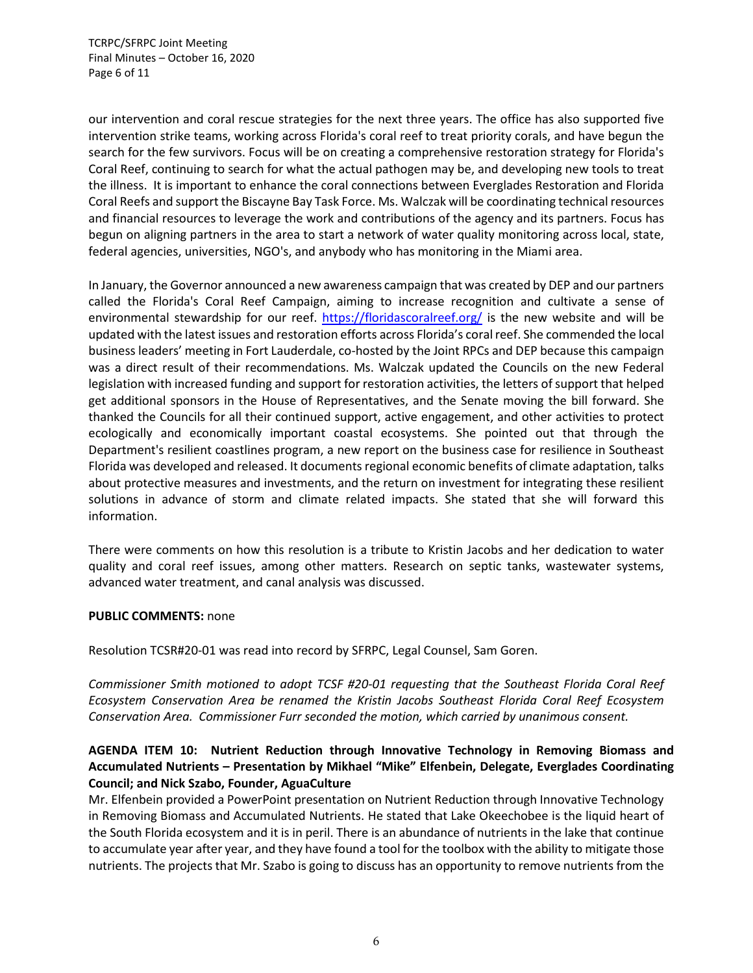TCRPC/SFRPC Joint Meeting Final Minutes – October 16, 2020 Page 6 of 11

our intervention and coral rescue strategies for the next three years. The office has also supported five intervention strike teams, working across Florida's coral reef to treat priority corals, and have begun the search for the few survivors. Focus will be on creating a comprehensive restoration strategy for Florida's Coral Reef, continuing to search for what the actual pathogen may be, and developing new tools to treat the illness. It is important to enhance the coral connections between Everglades Restoration and Florida Coral Reefs and support the Biscayne Bay Task Force. Ms. Walczak will be coordinating technical resources and financial resources to leverage the work and contributions of the agency and its partners. Focus has begun on aligning partners in the area to start a network of water quality monitoring across local, state, federal agencies, universities, NGO's, and anybody who has monitoring in the Miami area.

In January, the Governor announced a new awareness campaign that was created by DEP and our partners called the Florida's Coral Reef Campaign, aiming to increase recognition and cultivate a sense of environmental stewardship for our reef. <https://floridascoralreef.org/> is the new website and will be updated with the latest issues and restoration efforts across Florida's coral reef. She commended the local business leaders' meeting in Fort Lauderdale, co-hosted by the Joint RPCs and DEP because this campaign was a direct result of their recommendations. Ms. Walczak updated the Councils on the new Federal legislation with increased funding and support for restoration activities, the letters of support that helped get additional sponsors in the House of Representatives, and the Senate moving the bill forward. She thanked the Councils for all their continued support, active engagement, and other activities to protect ecologically and economically important coastal ecosystems. She pointed out that through the Department's resilient coastlines program, a new report on the business case for resilience in Southeast Florida was developed and released. It documents regional economic benefits of climate adaptation, talks about protective measures and investments, and the return on investment for integrating these resilient solutions in advance of storm and climate related impacts. She stated that she will forward this information.

There were comments on how this resolution is a tribute to Kristin Jacobs and her dedication to water quality and coral reef issues, among other matters. Research on septic tanks, wastewater systems, advanced water treatment, and canal analysis was discussed.

#### **PUBLIC COMMENTS:** none

Resolution TCSR#20-01 was read into record by SFRPC, Legal Counsel, Sam Goren.

*Commissioner Smith motioned to adopt TCSF #20-01 requesting that the Southeast Florida Coral Reef Ecosystem Conservation Area be renamed the Kristin Jacobs Southeast Florida Coral Reef Ecosystem Conservation Area. Commissioner Furr seconded the motion, which carried by unanimous consent.*

# **AGENDA ITEM 10: Nutrient Reduction through Innovative Technology in Removing Biomass and Accumulated Nutrients – Presentation by Mikhael "Mike" Elfenbein, Delegate, Everglades Coordinating Council; and Nick Szabo, Founder, AguaCulture**

Mr. Elfenbein provided a PowerPoint presentation on Nutrient Reduction through Innovative Technology in Removing Biomass and Accumulated Nutrients. He stated that Lake Okeechobee is the liquid heart of the South Florida ecosystem and it is in peril. There is an abundance of nutrients in the lake that continue to accumulate year after year, and they have found a tool for the toolbox with the ability to mitigate those nutrients. The projects that Mr. Szabo is going to discuss has an opportunity to remove nutrients from the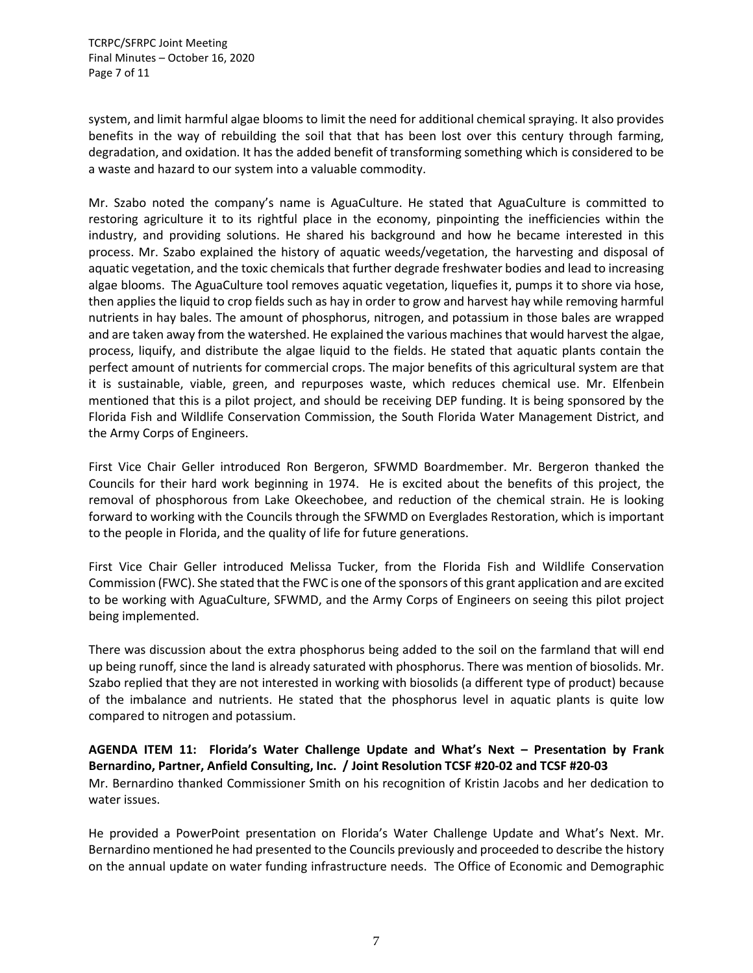TCRPC/SFRPC Joint Meeting Final Minutes – October 16, 2020 Page 7 of 11

system, and limit harmful algae blooms to limit the need for additional chemical spraying. It also provides benefits in the way of rebuilding the soil that that has been lost over this century through farming, degradation, and oxidation. It has the added benefit of transforming something which is considered to be a waste and hazard to our system into a valuable commodity.

Mr. Szabo noted the company's name is AguaCulture. He stated that AguaCulture is committed to restoring agriculture it to its rightful place in the economy, pinpointing the inefficiencies within the industry, and providing solutions. He shared his background and how he became interested in this process. Mr. Szabo explained the history of aquatic weeds/vegetation, the harvesting and disposal of aquatic vegetation, and the toxic chemicals that further degrade freshwater bodies and lead to increasing algae blooms. The AguaCulture tool removes aquatic vegetation, liquefies it, pumps it to shore via hose, then applies the liquid to crop fields such as hay in order to grow and harvest hay while removing harmful nutrients in hay bales. The amount of phosphorus, nitrogen, and potassium in those bales are wrapped and are taken away from the watershed. He explained the various machines that would harvest the algae, process, liquify, and distribute the algae liquid to the fields. He stated that aquatic plants contain the perfect amount of nutrients for commercial crops. The major benefits of this agricultural system are that it is sustainable, viable, green, and repurposes waste, which reduces chemical use. Mr. Elfenbein mentioned that this is a pilot project, and should be receiving DEP funding. It is being sponsored by the Florida Fish and Wildlife Conservation Commission, the South Florida Water Management District, and the Army Corps of Engineers.

First Vice Chair Geller introduced Ron Bergeron, SFWMD Boardmember. Mr. Bergeron thanked the Councils for their hard work beginning in 1974. He is excited about the benefits of this project, the removal of phosphorous from Lake Okeechobee, and reduction of the chemical strain. He is looking forward to working with the Councils through the SFWMD on Everglades Restoration, which is important to the people in Florida, and the quality of life for future generations.

First Vice Chair Geller introduced Melissa Tucker, from the Florida Fish and Wildlife Conservation Commission (FWC). She stated that the FWC is one of the sponsors of this grant application and are excited to be working with AguaCulture, SFWMD, and the Army Corps of Engineers on seeing this pilot project being implemented.

There was discussion about the extra phosphorus being added to the soil on the farmland that will end up being runoff, since the land is already saturated with phosphorus. There was mention of biosolids. Mr. Szabo replied that they are not interested in working with biosolids (a different type of product) because of the imbalance and nutrients. He stated that the phosphorus level in aquatic plants is quite low compared to nitrogen and potassium.

**AGENDA ITEM 11: Florida's Water Challenge Update and What's Next – Presentation by Frank Bernardino, Partner, Anfield Consulting, Inc. / Joint Resolution TCSF #20-02 and TCSF #20-03** Mr. Bernardino thanked Commissioner Smith on his recognition of Kristin Jacobs and her dedication to water issues.

He provided a PowerPoint presentation on Florida's Water Challenge Update and What's Next. Mr. Bernardino mentioned he had presented to the Councils previously and proceeded to describe the history on the annual update on water funding infrastructure needs. The Office of Economic and Demographic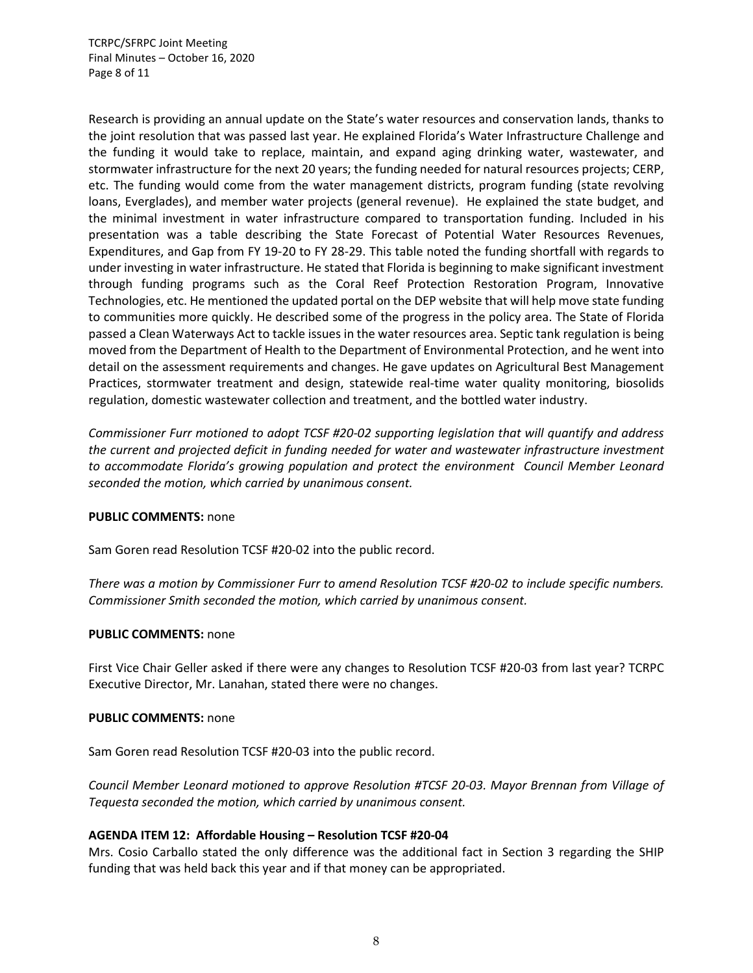TCRPC/SFRPC Joint Meeting Final Minutes – October 16, 2020 Page 8 of 11

Research is providing an annual update on the State's water resources and conservation lands, thanks to the joint resolution that was passed last year. He explained Florida's Water Infrastructure Challenge and the funding it would take to replace, maintain, and expand aging drinking water, wastewater, and stormwater infrastructure for the next 20 years; the funding needed for natural resources projects; CERP, etc. The funding would come from the water management districts, program funding (state revolving loans, Everglades), and member water projects (general revenue). He explained the state budget, and the minimal investment in water infrastructure compared to transportation funding. Included in his presentation was a table describing the State Forecast of Potential Water Resources Revenues, Expenditures, and Gap from FY 19-20 to FY 28-29. This table noted the funding shortfall with regards to under investing in water infrastructure. He stated that Florida is beginning to make significant investment through funding programs such as the Coral Reef Protection Restoration Program, Innovative Technologies, etc. He mentioned the updated portal on the DEP website that will help move state funding to communities more quickly. He described some of the progress in the policy area. The State of Florida passed a Clean Waterways Act to tackle issues in the water resources area. Septic tank regulation is being moved from the Department of Health to the Department of Environmental Protection, and he went into detail on the assessment requirements and changes. He gave updates on Agricultural Best Management Practices, stormwater treatment and design, statewide real-time water quality monitoring, biosolids regulation, domestic wastewater collection and treatment, and the bottled water industry.

*Commissioner Furr motioned to adopt TCSF #20-02 supporting legislation that will quantify and address the current and projected deficit in funding needed for water and wastewater infrastructure investment to accommodate Florida's growing population and protect the environment Council Member Leonard seconded the motion, which carried by unanimous consent.*

## **PUBLIC COMMENTS:** none

Sam Goren read Resolution TCSF #20-02 into the public record.

*There was a motion by Commissioner Furr to amend Resolution TCSF #20-02 to include specific numbers. Commissioner Smith seconded the motion, which carried by unanimous consent.*

#### **PUBLIC COMMENTS:** none

First Vice Chair Geller asked if there were any changes to Resolution TCSF #20-03 from last year? TCRPC Executive Director, Mr. Lanahan, stated there were no changes.

#### **PUBLIC COMMENTS:** none

Sam Goren read Resolution TCSF #20-03 into the public record.

*Council Member Leonard motioned to approve Resolution #TCSF 20-03. Mayor Brennan from Village of Tequesta seconded the motion, which carried by unanimous consent.*

#### **AGENDA ITEM 12: Affordable Housing – Resolution TCSF #20-04**

Mrs. Cosio Carballo stated the only difference was the additional fact in Section 3 regarding the SHIP funding that was held back this year and if that money can be appropriated.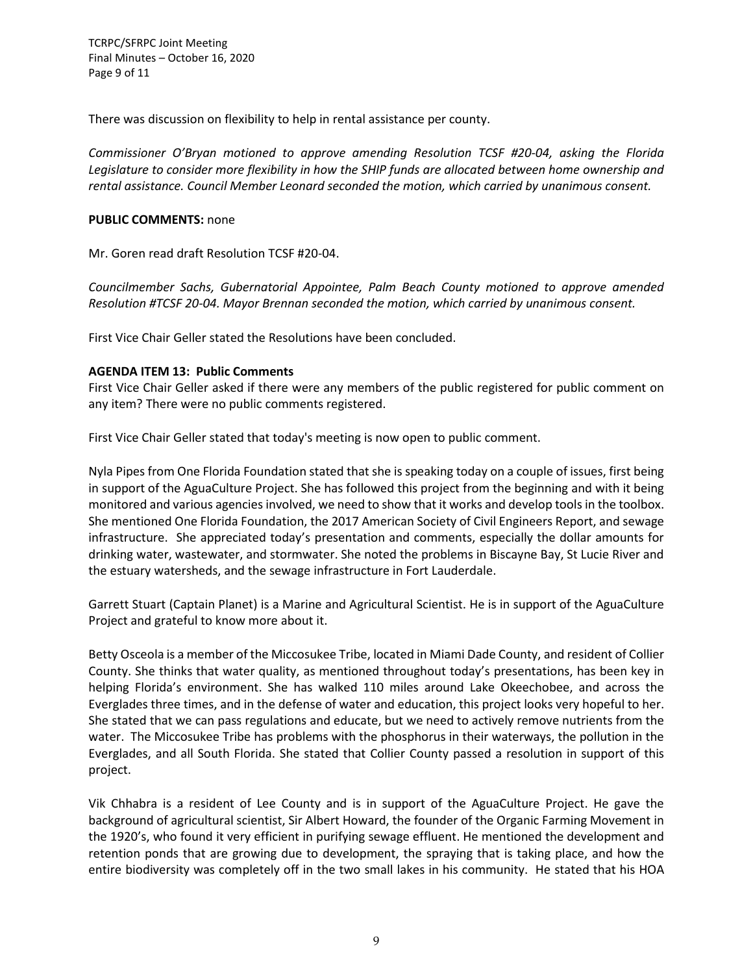TCRPC/SFRPC Joint Meeting Final Minutes – October 16, 2020 Page 9 of 11

There was discussion on flexibility to help in rental assistance per county.

*Commissioner O'Bryan motioned to approve amending Resolution TCSF #20-04, asking the Florida Legislature to consider more flexibility in how the SHIP funds are allocated between home ownership and rental assistance. Council Member Leonard seconded the motion, which carried by unanimous consent.*

#### **PUBLIC COMMENTS:** none

Mr. Goren read draft Resolution TCSF #20-04.

*Councilmember Sachs, Gubernatorial Appointee, Palm Beach County motioned to approve amended Resolution #TCSF 20-04. Mayor Brennan seconded the motion, which carried by unanimous consent.*

First Vice Chair Geller stated the Resolutions have been concluded.

## **AGENDA ITEM 13: Public Comments**

First Vice Chair Geller asked if there were any members of the public registered for public comment on any item? There were no public comments registered.

First Vice Chair Geller stated that today's meeting is now open to public comment.

Nyla Pipes from One Florida Foundation stated that she is speaking today on a couple of issues, first being in support of the AguaCulture Project. She has followed this project from the beginning and with it being monitored and various agencies involved, we need to show that it works and develop tools in the toolbox. She mentioned One Florida Foundation, the 2017 American Society of Civil Engineers Report, and sewage infrastructure. She appreciated today's presentation and comments, especially the dollar amounts for drinking water, wastewater, and stormwater. She noted the problems in Biscayne Bay, St Lucie River and the estuary watersheds, and the sewage infrastructure in Fort Lauderdale.

Garrett Stuart (Captain Planet) is a Marine and Agricultural Scientist. He is in support of the AguaCulture Project and grateful to know more about it.

Betty Osceola is a member of the Miccosukee Tribe, located in Miami Dade County, and resident of Collier County. She thinks that water quality, as mentioned throughout today's presentations, has been key in helping Florida's environment. She has walked 110 miles around Lake Okeechobee, and across the Everglades three times, and in the defense of water and education, this project looks very hopeful to her. She stated that we can pass regulations and educate, but we need to actively remove nutrients from the water. The Miccosukee Tribe has problems with the phosphorus in their waterways, the pollution in the Everglades, and all South Florida. She stated that Collier County passed a resolution in support of this project.

Vik Chhabra is a resident of Lee County and is in support of the AguaCulture Project. He gave the background of agricultural scientist, Sir Albert Howard, the founder of the Organic Farming Movement in the 1920's, who found it very efficient in purifying sewage effluent. He mentioned the development and retention ponds that are growing due to development, the spraying that is taking place, and how the entire biodiversity was completely off in the two small lakes in his community. He stated that his HOA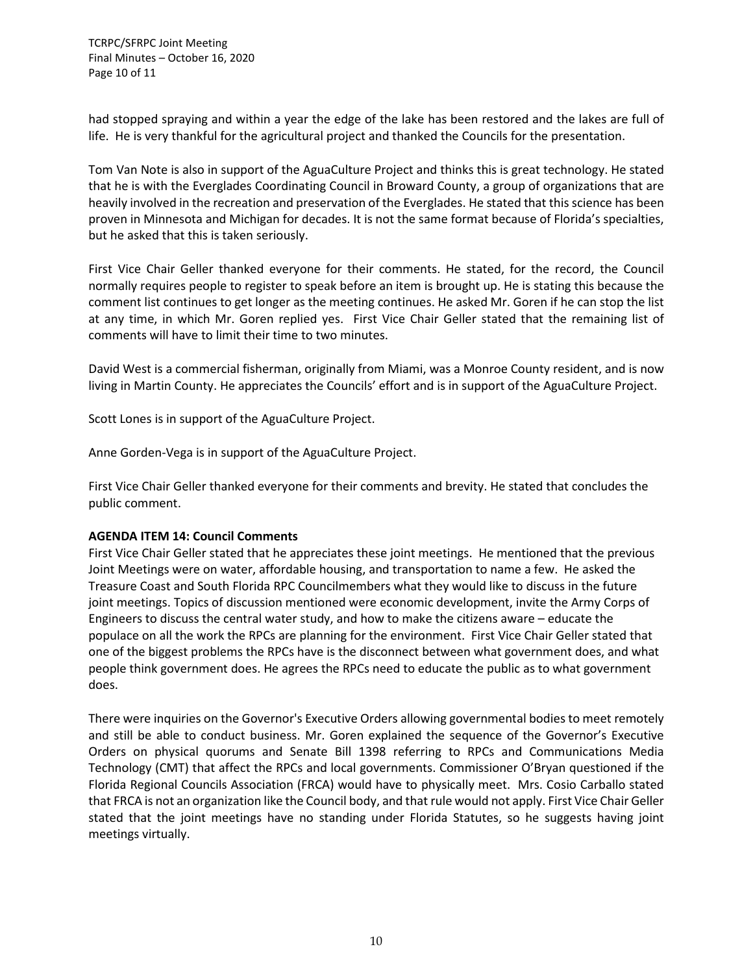TCRPC/SFRPC Joint Meeting Final Minutes – October 16, 2020 Page 10 of 11

had stopped spraying and within a year the edge of the lake has been restored and the lakes are full of life. He is very thankful for the agricultural project and thanked the Councils for the presentation.

Tom Van Note is also in support of the AguaCulture Project and thinks this is great technology. He stated that he is with the Everglades Coordinating Council in Broward County, a group of organizations that are heavily involved in the recreation and preservation of the Everglades. He stated that this science has been proven in Minnesota and Michigan for decades. It is not the same format because of Florida's specialties, but he asked that this is taken seriously.

First Vice Chair Geller thanked everyone for their comments. He stated, for the record, the Council normally requires people to register to speak before an item is brought up. He is stating this because the comment list continues to get longer as the meeting continues. He asked Mr. Goren if he can stop the list at any time, in which Mr. Goren replied yes. First Vice Chair Geller stated that the remaining list of comments will have to limit their time to two minutes.

David West is a commercial fisherman, originally from Miami, was a Monroe County resident, and is now living in Martin County. He appreciates the Councils' effort and is in support of the AguaCulture Project.

Scott Lones is in support of the AguaCulture Project.

Anne Gorden-Vega is in support of the AguaCulture Project.

First Vice Chair Geller thanked everyone for their comments and brevity. He stated that concludes the public comment.

#### **AGENDA ITEM 14: Council Comments**

First Vice Chair Geller stated that he appreciates these joint meetings. He mentioned that the previous Joint Meetings were on water, affordable housing, and transportation to name a few. He asked the Treasure Coast and South Florida RPC Councilmembers what they would like to discuss in the future joint meetings. Topics of discussion mentioned were economic development, invite the Army Corps of Engineers to discuss the central water study, and how to make the citizens aware – educate the populace on all the work the RPCs are planning for the environment. First Vice Chair Geller stated that one of the biggest problems the RPCs have is the disconnect between what government does, and what people think government does. He agrees the RPCs need to educate the public as to what government does.

There were inquiries on the Governor's Executive Orders allowing governmental bodies to meet remotely and still be able to conduct business. Mr. Goren explained the sequence of the Governor's Executive Orders on physical quorums and Senate Bill 1398 referring to RPCs and Communications Media Technology (CMT) that affect the RPCs and local governments. Commissioner O'Bryan questioned if the Florida Regional Councils Association (FRCA) would have to physically meet. Mrs. Cosio Carballo stated that FRCA is not an organization like the Council body, and that rule would not apply. First Vice Chair Geller stated that the joint meetings have no standing under Florida Statutes, so he suggests having joint meetings virtually.